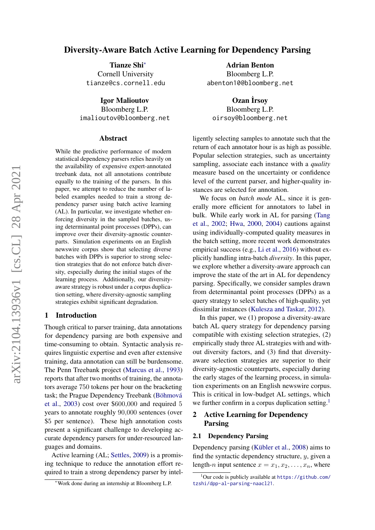# Diversity-Aware Batch Active Learning for Dependency Parsing

Tianze Shi<sup>∗</sup> Cornell University tianze@cs.cornell.edu

Igor Malioutov Bloomberg L.P. imalioutov@bloomberg.net

#### Abstract

While the predictive performance of modern statistical dependency parsers relies heavily on the availability of expensive expert-annotated treebank data, not all annotations contribute equally to the training of the parsers. In this paper, we attempt to reduce the number of labeled examples needed to train a strong dependency parser using batch active learning (AL). In particular, we investigate whether enforcing diversity in the sampled batches, using determinantal point processes (DPPs), can improve over their diversity-agnostic counterparts. Simulation experiments on an English newswire corpus show that selecting diverse batches with DPPs is superior to strong selection strategies that do not enforce batch diversity, especially during the initial stages of the learning process. Additionally, our diversityaware strategy is robust under a corpus duplication setting, where diversity-agnostic sampling strategies exhibit significant degradation.

#### 1 Introduction

Though critical to parser training, data annotations for dependency parsing are both expensive and time-consuming to obtain. Syntactic analysis requires linguistic expertise and even after extensive training, data annotation can still be burdensome. The Penn Treebank project [\(Marcus et al.,](#page-6-0) [1993\)](#page-6-0) reports that after two months of training, the annotators average 750 tokens per hour on the bracketing task; the Prague Dependency Treebank (Böhmová [et al.,](#page-5-0) [2003\)](#page-5-0) cost over \$600,000 and required 5 years to annotate roughly 90,000 sentences (over \$5 per sentence). These high annotation costs present a significant challenge to developing accurate dependency parsers for under-resourced languages and domains.

Active learning (AL; [Settles,](#page-6-1) [2009\)](#page-6-1) is a promising technique to reduce the annotation effort required to train a strong dependency parser by intel-

Adrian Benton Bloomberg L.P. abenton10@bloomberg.net

Ozan İrsoy Bloomberg L.P. oirsoy@bloomberg.net

ligently selecting samples to annotate such that the return of each annotator hour is as high as possible. Popular selection strategies, such as uncertainty sampling, associate each instance with a *quality* measure based on the uncertainty or confidence level of the current parser, and higher-quality instances are selected for annotation.

We focus on *batch mode* AL, since it is generally more efficient for annotators to label in bulk. While early work in AL for parsing [\(Tang](#page-7-0) [et al.,](#page-7-0) [2002;](#page-7-0) [Hwa,](#page-5-1) [2000,](#page-5-1) [2004\)](#page-5-2) cautions against using individually-computed quality measures in the batch setting, more recent work demonstrates empirical success (e.g., [Li et al.,](#page-6-2) [2016\)](#page-6-2) without explicitly handling intra-batch *diversity*. In this paper, we explore whether a diversity-aware approach can improve the state of the art in AL for dependency parsing. Specifically, we consider samples drawn from determinantal point processes (DPPs) as a query strategy to select batches of high-quality, yet dissimilar instances [\(Kulesza and Taskar,](#page-6-3) [2012\)](#page-6-3).

In this paper, we (1) propose a diversity-aware batch AL query strategy for dependency parsing compatible with existing selection strategies, (2) empirically study three AL strategies with and without diversity factors, and (3) find that diversityaware selection strategies are superior to their diversity-agnostic counterparts, especially during the early stages of the learning process, in simulation experiments on an English newswire corpus. This is critical in low-budget AL settings, which we further confirm in a corpus duplication setting.<sup>[1](#page-0-0)</sup>

# 2 Active Learning for Dependency Parsing

### 2.1 Dependency Parsing

Dependency parsing (Kübler et al., [2008\)](#page-6-4) aims to find the syntactic dependency structure,  $y$ , given a length-n input sentence  $x = x_1, x_2, \ldots, x_n$ , where

<sup>∗</sup>Work done during an internship at Bloomberg L.P.

<span id="page-0-0"></span> $1$ Our code is publicly available at [https://github.com/](https://github.com/tzshi/dpp-al-parsing-naacl21) [tzshi/dpp-al-parsing-naacl21](https://github.com/tzshi/dpp-al-parsing-naacl21).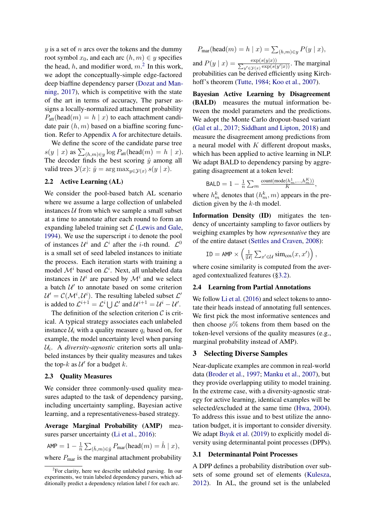$y$  is a set of n arcs over the tokens and the dummy root symbol  $x_0$ , and each arc  $(h, m) \in y$  specifies the head, h, and modifier word,  $m<sup>2</sup>$  $m<sup>2</sup>$  $m<sup>2</sup>$  In this work, we adopt the conceptually-simple edge-factored deep biaffine dependency parser [\(Dozat and Man](#page-5-3)[ning,](#page-5-3) [2017\)](#page-5-3), which is competitive with the state of the art in terms of accuracy, The parser assigns a locally-normalized attachment probability  $P_{\text{att}}(\text{head}(m) = h \mid x)$  to each attachment candidate pair  $(h, m)$  based on a biaffine scoring function. Refer to Appendix [A](#page-8-0) for architecture details.

We define the score of the candidate parse tree  $s(y \mid x)$  as  $\sum_{(h,m)\in y} \log P_{\text{att}}(\text{head}(m) = h \mid x)$ . The decoder finds the best scoring  $\hat{y}$  among all valid trees  $\mathcal{Y}(x)$ :  $\hat{y} = \arg \max_{y \in \mathcal{Y}(x)} s(y | x)$ .

## 2.2 Active Learning (AL)

We consider the pool-based batch AL scenario where we assume a large collection of unlabeled instances  $U$  from which we sample a small subset at a time to annotate after each round to form an expanding labeled training set  $\mathcal L$  [\(Lewis and Gale,](#page-6-5) [1994\)](#page-6-5). We use the superscript  $i$  to denote the pool of instances  $\mathcal{U}^i$  and  $\mathcal{L}^i$  after the *i*-th round.  $\mathcal{L}^0$ is a small set of seed labeled instances to initiate the process. Each iteration starts with training a model  $\mathcal{M}^i$  based on  $\mathcal{L}^i$ . Next, all unlabeled data instances in  $\mathcal{U}^i$  are parsed by  $\mathcal{M}^i$  and we select a batch  $U'$  to annotate based on some criterion  $\mathcal{U}' = \mathcal{C}(\mathcal{M}^i, \mathcal{U}^i)$ . The resulting labeled subset  $\mathcal{L}'$ is added to  $\mathcal{L}^{i+1} = \mathcal{L}^i \bigcup \mathcal{L}'$  and  $\mathcal{U}^{i+1} = \mathcal{U}^i - \mathcal{U}'$ .

The definition of the selection criterion  $C$  is critical. A typical strategy associates each unlabeled instance  $\mathcal{U}_i$  with a quality measure  $q_i$  based on, for example, the model uncertainty level when parsing Ui . A *diversity-agnostic* criterion sorts all unlabeled instances by their quality measures and takes the top- $k$  as  $\mathcal{U}'$  for a budget  $k$ .

# 2.3 Quality Measures

We consider three commonly-used quality measures adapted to the task of dependency parsing, including uncertainty sampling, Bayesian active learning, and a representativeness-based strategy.

Average Marginal Probability (AMP) mea-sures parser uncertainty [\(Li et al.,](#page-6-2) [2016\)](#page-6-2):

$$
\text{AMP} = 1 - \tfrac{1}{n} \sum_{(\hat{h},m) \in \hat{y}} P_{\text{mar}}(\text{head}(m) = \hat{h} \mid x),
$$

where  $P_{\text{mar}}$  is the marginal attachment probability

$$
P_{\text{mar}}(\text{head}(m) = h \mid x) = \sum_{(h,m) \in y} P(y \mid x),
$$

and  $P(y \mid x) = \frac{\exp(s(y \mid x))}{\sum_{y' \in \mathcal{Y}(x)} \exp(s)}$  $\frac{\exp(s(y|x))}{(y' \in y(x) \exp(s(y'|x)))}$ . The marginal probabilities can be derived efficiently using Kirch-hoff's theorem [\(Tutte,](#page-7-1) [1984;](#page-7-1) [Koo et al.,](#page-6-6) [2007\)](#page-6-6).

Bayesian Active Learning by Disagreement (BALD) measures the mutual information between the model parameters and the predictions. We adopt the Monte Carlo dropout-based variant [\(Gal et al.,](#page-5-4) [2017;](#page-5-4) [Siddhant and Lipton,](#page-7-2) [2018\)](#page-7-2) and measure the disagreement among predictions from a neural model with  $K$  different dropout masks, which has been applied to active learning in NLP. We adapt BALD to dependency parsing by aggregating disagreement at a token level:

$$
\text{BALD} = 1 - \frac{1}{n} \sum_{m} \frac{\text{count}(\text{mode}(h_m^1, \ldots, h_m^K))}{K},
$$

where  $h_m^k$  denotes that  $(h_m^k, m)$  appears in the prediction given by the  $k$ -th model.

Information Density (ID) mitigates the tendency of uncertainty sampling to favor outliers by weighing examples by how *representative* they are of the entire dataset [\(Settles and Craven,](#page-6-7) [2008\)](#page-6-7):

$$
\text{ID} = \text{AMP} \times \left(\frac{1}{|\mathcal{U}|}\sum_{x' \in \mathcal{U}} \text{sim}_{\text{cos}}(x, x')\right),
$$

where cosine similarity is computed from the averaged contextualized features ([§3.2\)](#page-2-0).

# 2.4 Learning from Partial Annotations

We follow [Li et al.](#page-6-2) [\(2016\)](#page-6-2) and select tokens to annotate their heads instead of annotating full sentences. We first pick the most informative sentences and then choose  $p\%$  tokens from them based on the token-level versions of the quality measures (e.g., marginal probability instead of AMP).

# 3 Selecting Diverse Samples

Near-duplicate examples are common in real-world data [\(Broder et al.,](#page-5-5) [1997;](#page-5-5) [Manku et al.,](#page-6-8) [2007\)](#page-6-8), but they provide overlapping utility to model training. In the extreme case, with a diversity-agnostic strategy for active learning, identical examples will be selected/excluded at the same time [\(Hwa,](#page-5-2) [2004\)](#page-5-2). To address this issue and to best utilize the annotation budget, it is important to consider diversity. We adapt [Bıyık et al.](#page-5-6) [\(2019\)](#page-5-6) to explicitly model diversity using determinantal point processes (DPPs).

### 3.1 Determinantal Point Processes

A DPP defines a probability distribution over subsets of some ground set of elements [\(Kulesza,](#page-6-9) [2012\)](#page-6-9). In AL, the ground set is the unlabeled

<span id="page-1-0"></span><sup>&</sup>lt;sup>2</sup>For clarity, here we describe unlabeled parsing. In our experiments, we train labeled dependency parsers, which additionally predict a dependency relation label  $l$  for each arc.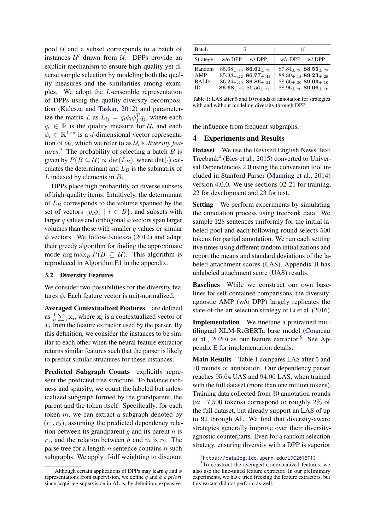pool  $U$  and a subset corresponds to a batch of instances  $U'$  drawn from  $U$ . DPPs provide an explicit mechanism to ensure high-quality yet diverse sample selection by modeling both the quality measures and the similarities among examples. We adopt the L-ensemble representation of DPPs using the quality-diversity decomposition [\(Kulesza and Taskar,](#page-6-3) [2012\)](#page-6-3) and parameterize the matrix L as  $L_{ij} = q_i \phi_i \phi_j^T q_j$ , where each  $q_i \in \mathbb{R}$  is the quality measure for  $\mathcal{U}_i$  and each  $\phi_i \in \mathbb{R}^{1 \times d}$  is a d-dimensional vector representation of  $U_i$ , which we refer to as  $U_i$ 's *diversity features*.<sup>[3](#page-2-1)</sup> The probability of selecting a batch  $B$  is given by  $P(B \subseteq \mathcal{U}) \propto \det(L_B)$ , where  $\det(\cdot)$  calculates the determinant and  $L_B$  is the submatrix of L indexed by elements in B.

DPPs place high probability on diverse subsets of high-quality items. Intuitively, the determinant of  $L_B$  corresponds to the volume spanned by the set of vectors  $\{q_i\phi_i \mid i \in B\}$ , and subsets with larger q values and orthogonal  $\phi$  vectors span larger volumes than those with smaller  $q$  values or similar  $\phi$  vectors. We follow [Kulesza](#page-6-9) [\(2012\)](#page-6-9) and adapt their greedy algorithm for finding the approximate mode  $\arg \max_B P(B \subseteq \mathcal{U})$ . This algorithm is reproduced in Algorithm [E1](#page-10-0) in the appendix.

#### <span id="page-2-0"></span>3.2 Diversity Features

We consider two possibilities for the diversity features  $\phi$ . Each feature vector is unit-normalized.

Averaged Contextualized Features are defined as  $\frac{1}{n} \sum_i \mathbf{x}_i$ , where  $\mathbf{x}_i$  is a contextualized vector of  $x_i$  from the feature extractor used by the parser. By this definition, we consider the instances to be similar to each other when the neural feature extractor returns similar features such that the parser is likely to predict similar structures for these instances.

Predicted Subgraph Counts explicitly represent the predicted tree structure. To balance richness and sparsity, we count the labeled but unlexicalized subgraph formed by the grandparent, the parent and the token itself. Specifically, for each token m, we can extract a subgraph denoted by  $(r_1, r_2)$ , assuming the predicted dependency relation between its grandparent  $q$  and its parent  $h$  is  $r_1$ , and the relation between h and m is  $r_2$ . The parse tree for a length- $n$  sentence contains  $n$  such subgraphs. We apply tf-idf weighting to discount

<span id="page-2-4"></span>

| Batch       |                                      | 10                                                    |
|-------------|--------------------------------------|-------------------------------------------------------|
| Strategy    | $w$ /o DPP<br>w/DPP                  | $w$ /o DPP<br>w/DPP                                   |
| Random      | $85.68_{+.26}$ 86.61 <sub>+.28</sub> | $87.84_{\pm.26}$ $88.55_{\pm.23}$                     |
| AMP         | $85.98_{+.22}$ 86.77 <sub>+.43</sub> | $88.80_{\pm.18}$ 89.23 <sub><math>\pm.29</math></sub> |
| <b>BALD</b> | $86.24_{+.40}$ 86.86 + 31            | $88.66 +_{.36} 89.03 +_{.10}$                         |
| ID          | $86.68_{+.26}$ $86.56_{+.24}$        | $88.96_{\pm.20}$ 89.06 $_{\pm.16}$                    |

Table 1: LAS after 5 and 10 rounds of annotation for strategies with and without modeling diversity through DPP.

the influence from frequent subgraphs.

### 4 Experiments and Results

Dataset We use the Revised English News Text Treebank<sup>[4](#page-2-2)</sup> [\(Bies et al.,](#page-5-7) [2015\)](#page-5-7) converted to Universal Dependencies 2.0 using the conversion tool included in Stanford Parser [\(Manning et al.,](#page-6-10) [2014\)](#page-6-10) version 4.0.0. We use sections 02-21 for training, 22 for development and 23 for test.

Setting We perform experiments by simulating the annotation process using treebank data. We sample 128 sentences uniformly for the initial labeled pool and each following round selects 500 tokens for partial annotation. We run each setting five times using different random initializations and report the means and standard deviations of the labeled attachment scores (LAS). Appendix [B](#page-8-1) has unlabeled attachment score (UAS) results.

Baselines While we construct our own baselines for self-contained comparisons, the diversityagnostic AMP (w/o DPP) largely replicates the state-of-the-art selection strategy of [Li et al.](#page-6-2) [\(2016\)](#page-6-2).

Implementation We finetune a pretrained multilingual XLM-RoBERTa base model [\(Conneau](#page-5-8) [et al.,](#page-5-8) [2020\)](#page-5-8) as our feature extractor.<sup>[5](#page-2-3)</sup> See Appendix [E](#page-10-1) for implementation details.

Main Results Table [1](#page-2-4) compares LAS after 5 and 10 rounds of annotation. Our dependency parser reaches 95.64 UAS and 94.06 LAS, when trained with the full dataset (more than one million tokens). Training data collected from 30 annotation rounds  $(\approx 17,500$  tokens) correspond to roughly 2% of the full dataset, but already support an LAS of up to 92 through AL. We find that diversity-aware strategies generally improve over their diversityagnostic counterparts. Even for a random selection strategy, ensuring diversity with a DPP is superior

<span id="page-2-1"></span><sup>&</sup>lt;sup>3</sup>Although certain applications of DPPs may learn q and  $\phi$ representations from supervision, we define q and  $\phi$  *a priori*, since acquiring supervision in AL is, by definition, expensive.

<span id="page-2-3"></span><span id="page-2-2"></span><sup>4</sup> <https://catalog.ldc.upenn.edu/LDC2015T13>

<sup>5</sup>To construct the averaged contextualized features, we also use the fine-tuned feature extractor. In our preliminary experiments, we have tried freezing the feature extractors, but this variant did not perform as well.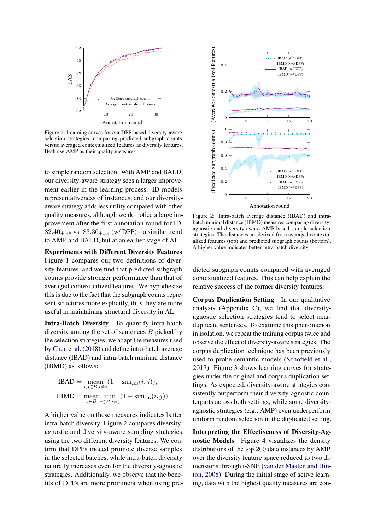<span id="page-3-0"></span>

Figure 1: Learning curves for our DPP-based diversity-aware selection strategies, comparing predicted subgraph counts versus averaged contextualized features as diversity features. Both use AMP as their quality measures.

to simple random selection. With AMP and BALD, our diversity-aware strategy sees a larger improvement earlier in the learning process. ID models representativeness of instances, and our diversityaware strategy adds less utility compared with other quality measures, although we do notice a large improvement after the first annotation round for ID: 82.40 $+$ <sub>48</sub> vs. 83.36 $+$ <sub>54</sub> (w/ DPP) – a similar trend to AMP and BALD, but at an earlier stage of AL.

Experiments with Different Diversity Features Figure [1](#page-3-0) compares our two definitions of diversity features, and we find that predicted subgraph counts provide stronger performance than that of averaged contextualized features. We hypothesize this is due to the fact that the subgraph counts represent structures more explicitly, thus they are more useful in maintaining structural diversity in AL.

Intra-Batch Diversity To quantify intra-batch diversity among the set of sentences B picked by the selection strategies, we adapt the measures used by [Chen et al.](#page-5-9) [\(2018\)](#page-5-9) and define intra-batch average distance (IBAD) and intra-batch minimal distance (IBMD) as follows:

IBAD = mean 
$$
\sum_{i,j \in B, i \neq j} (1 - \text{sim}_{\cos}(i, j)),
$$
  
IBMD = mean min 
$$
\min_{i \in B} (1 - \text{sim}_{\cos}(i, j)).
$$

A higher value on these measures indicates better intra-batch diversity. Figure [2](#page-3-1) compares diversityagnostic and diversity-aware sampling strategies using the two different diversity features. We confirm that DPPs indeed promote diverse samples in the selected batches, while intra-batch diversity naturally increases even for the diversity-agnostic strategies. Additionally, we observe that the benefits of DPPs are more prominent when using pre-

<span id="page-3-1"></span>

Figure 2: Intra-batch average distance (IBAD) and intrabatch minimal distance (IBMD) measures comparing diversityagnostic and diversity-aware AMP-based sample selection strategies. The distances are derived from averaged contextualized features (top) and predicted subgraph counts (bottom). A higher value indicates better intra-batch diversity.

dicted subgraph counts compared with averaged contextualized features. This can help explain the relative success of the former diversity features.

Corpus Duplication Setting In our qualitative analysis (Appendix [C\)](#page-8-2), we find that diversityagnostic selection strategies tend to select nearduplicate sentences. To examine this phenomenon in isolation, we repeat the training corpus twice and observe the effect of diversity-aware strategies. The corpus duplication technique has been previously used to probe semantic models [\(Schofield et al.,](#page-6-11) [2017\)](#page-6-11). Figure [3](#page-4-0) shows learning curves for strategies under the original and corpus duplication settings. As expected, diversity-aware strategies consistently outperform their diversity-agnostic counterparts across both settings, while some diversityagnostic strategies (e.g., AMP) even underperform uniform random selection in the duplicated setting.

Interpreting the Effectiveness of Diversity-Agnostic Models Figure [4](#page-4-1) visualizes the density distributions of the top 200 data instances by AMP over the diversity feature space reduced to two dimensions through t-SNE [\(van der Maaten and Hin](#page-7-3)[ton,](#page-7-3) [2008\)](#page-7-3). During the initial stage of active learning, data with the highest quality measures are con-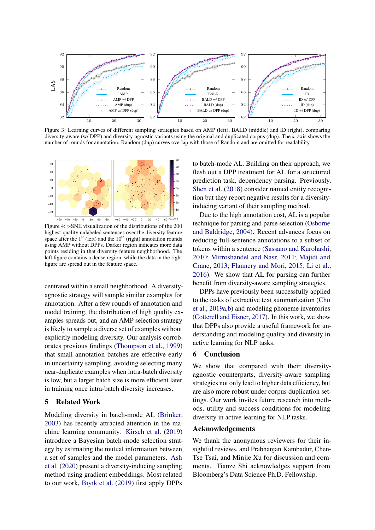<span id="page-4-0"></span>

Figure 3: Learning curves of different sampling strategies based on AMP (left), BALD (middle) and ID (right), comparing diversity-aware (w/ DPP) and diversity-agnostic variants using the original and duplicated corpus (dup). The  $x$ -axis shows the number of rounds for annotation. Random (dup) curves overlap with those of Random and are omitted for readability.

<span id="page-4-1"></span>

Figure 4: t-SNE visualization of the distributions of the 200 highest-quality unlabeled sentences over the diversity feature space after the  $1<sup>st</sup>$  (left) and the  $10<sup>th</sup>$  (right) annotation rounds using AMP without DPPs. Darker region indicates more data points residing in that diversity feature neighborhood. The left figure contains a dense region, while the data in the right figure are spread out in the feature space.

centrated within a small neighborhood. A diversityagnostic strategy will sample similar examples for annotation. After a few rounds of annotation and model training, the distribution of high quality examples spreads out, and an AMP selection strategy is likely to sample a diverse set of examples without explicitly modeling diversity. Our analysis corroborates previous findings [\(Thompson et al.,](#page-7-4) [1999\)](#page-7-4) that small annotation batches are effective early in uncertainty sampling, avoiding selecting many near-duplicate examples when intra-batch diversity is low, but a larger batch size is more efficient later in training once intra-batch diversity increases.

## 5 Related Work

Modeling diversity in batch-mode AL [\(Brinker,](#page-5-10) [2003\)](#page-5-10) has recently attracted attention in the machine learning community. [Kirsch et al.](#page-5-11) [\(2019\)](#page-5-11) introduce a Bayesian batch-mode selection strategy by estimating the mutual information between a set of samples and the model parameters. [Ash](#page-5-12) [et al.](#page-5-12) [\(2020\)](#page-5-12) present a diversity-inducing sampling method using gradient embeddings. Most related to our work, [Bıyık et al.](#page-5-6) [\(2019\)](#page-5-6) first apply DPPs

to batch-mode AL. Building on their approach, we flesh out a DPP treatment for AL for a structured prediction task, dependency parsing. Previously, [Shen et al.](#page-6-12) [\(2018\)](#page-6-12) consider named entity recognition but they report negative results for a diversityinducing variant of their sampling method.

Due to the high annotation cost, AL is a popular technique for parsing and parse selection [\(Osborne](#page-6-13) [and Baldridge,](#page-6-13) [2004\)](#page-6-13). Recent advances focus on reducing full-sentence annotations to a subset of tokens within a sentence [\(Sassano and Kurohashi,](#page-6-14) [2010;](#page-6-14) [Mirroshandel and Nasr,](#page-6-15) [2011;](#page-6-15) [Majidi and](#page-6-16) [Crane,](#page-6-16) [2013;](#page-6-16) [Flannery and Mori,](#page-5-13) [2015;](#page-5-13) [Li et al.,](#page-6-2) [2016\)](#page-6-2). We show that AL for parsing can further benefit from diversity-aware sampling strategies.

DPPs have previously been successfully applied to the tasks of extractive text summarization [\(Cho](#page-5-14) [et al.,](#page-5-14) [2019a,](#page-5-14)[b\)](#page-5-15) and modeling phoneme inventories [\(Cotterell and Eisner,](#page-5-16) [2017\)](#page-5-16). In this work, we show that DPPs also provide a useful framework for understanding and modeling quality and diversity in active learning for NLP tasks.

## 6 Conclusion

We show that compared with their diversityagnostic counterparts, diversity-aware sampling strategies not only lead to higher data efficiency, but are also more robust under corpus duplication settings. Our work invites future research into methods, utility and success conditions for modeling diversity in active learning for NLP tasks.

#### Acknowledgements

We thank the anonymous reviewers for their insightful reviews, and Prabhanjan Kambadur, Chen-Tse Tsai, and Minjie Xu for discussion and comments. Tianze Shi acknowledges support from Bloomberg's Data Science Ph.D. Fellowship.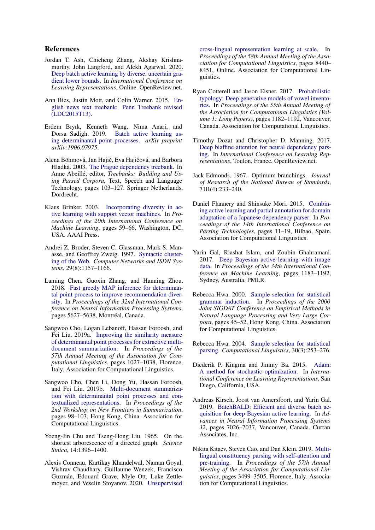## References

- <span id="page-5-12"></span>Jordan T. Ash, Chicheng Zhang, Akshay Krishnamurthy, John Langford, and Alekh Agarwal. 2020. [Deep batch active learning by diverse, uncertain gra](https://openreview.net/forum?id=ryghZJBKPS)[dient lower bounds.](https://openreview.net/forum?id=ryghZJBKPS) In *International Conference on Learning Representations*, Online. OpenReview.net.
- <span id="page-5-7"></span>Ann Bies, Justin Mott, and Colin Warner. 2015. [En](https://catalog.ldc.upenn.edu/LDC2015T13)[glish news text treebank: Penn Treebank revised](https://catalog.ldc.upenn.edu/LDC2015T13) [\(LDC2015T13\).](https://catalog.ldc.upenn.edu/LDC2015T13)
- <span id="page-5-6"></span>Erdem Bıyık, Kenneth Wang, Nima Anari, and [Batch active learning us](https://arxiv.org/pdf/1906.07975.pdf)[ing determinantal point processes.](https://arxiv.org/pdf/1906.07975.pdf) *arXiv preprint arXiv:1906.07975*.
- <span id="page-5-0"></span>Alena Böhmová, Jan Hajič, Eva Hajičová, and Barbora Hladká. 2003. [The Prague dependency treebank.](https://doi.org/10.1007/978-94-010-0201-1_7) In Anne Abeillé, editor, *Treebanks: Building and Using Parsed Corpora*, Text, Speech and Language Technology, pages 103–127. Springer Netherlands, Dordrecht.
- <span id="page-5-10"></span>Klaus Brinker. 2003. [Incorporating diversity in ac](https://www.aaai.org/Papers/ICML/2003/ICML03-011.pdf)[tive learning with support vector machines.](https://www.aaai.org/Papers/ICML/2003/ICML03-011.pdf) In *Proceedings of the 20th International Conference on Machine Learning*, pages 59–66, Washington, DC, USA. AAAI Press.
- <span id="page-5-5"></span>Andrei Z. Broder, Steven C. Glassman, Mark S. Manasse, and Geoffrey Zweig. 1997. [Syntactic cluster](https://doi.org/10.1016/S0169-7552(97)00031-7)[ing of the Web.](https://doi.org/10.1016/S0169-7552(97)00031-7) *Computer Networks and ISDN Systems*, 29(8):1157–1166.
- <span id="page-5-9"></span>Laming Chen, Guoxin Zhang, and Hanning Zhou. 2018. [Fast greedy MAP inference for determinan](https://dl.acm.org/doi/10.5555/3327345.3327465)[tal point process to improve recommendation diver](https://dl.acm.org/doi/10.5555/3327345.3327465)[sity.](https://dl.acm.org/doi/10.5555/3327345.3327465) In *Proceedings of the 32nd International Conference on Neural Information Processing Systems*, pages 5627-5638, Montréal, Canada.
- <span id="page-5-14"></span>Sangwoo Cho, Logan Lebanoff, Hassan Foroosh, and Fei Liu. 2019a. [Improving the similarity measure](https://doi.org/10.18653/v1/P19-1098) [of determinantal point processes for extractive multi](https://doi.org/10.18653/v1/P19-1098)[document summarization.](https://doi.org/10.18653/v1/P19-1098) In *Proceedings of the 57th Annual Meeting of the Association for Computational Linguistics*, pages 1027–1038, Florence, Italy. Association for Computational Linguistics.
- <span id="page-5-15"></span>Sangwoo Cho, Chen Li, Dong Yu, Hassan Foroosh, and Fei Liu. 2019b. [Multi-document summariza](https://doi.org/10.18653/v1/D19-5412)[tion with determinantal point processes and con](https://doi.org/10.18653/v1/D19-5412)[textualized representations.](https://doi.org/10.18653/v1/D19-5412) In *Proceedings of the 2nd Workshop on New Frontiers in Summarization*, pages 98–103, Hong Kong, China. Association for Computational Linguistics.
- <span id="page-5-18"></span>Yoeng-Jin Chu and Tseng-Hong Liu. 1965. On the shortest arborescence of a directed graph. *Science Sinica*, 14:1396–1400.
- <span id="page-5-8"></span>Alexis Conneau, Kartikay Khandelwal, Naman Goyal, Vishrav Chaudhary, Guillaume Wenzek, Francisco Guzman, Edouard Grave, Myle Ott, Luke Zettle- ´ moyer, and Veselin Stoyanov. 2020. [Unsupervised](https://doi.org/10.18653/v1/2020.acl-main.747)

[cross-lingual representation learning at scale.](https://doi.org/10.18653/v1/2020.acl-main.747) In *Proceedings of the 58th Annual Meeting of the Association for Computational Linguistics*, pages 8440– 8451, Online. Association for Computational Linguistics.

- <span id="page-5-16"></span>Ryan Cotterell and Jason Eisner. 2017. [Probabilistic](https://doi.org/10.18653/v1/P17-1109) [typology: Deep generative models of vowel invento](https://doi.org/10.18653/v1/P17-1109)[ries.](https://doi.org/10.18653/v1/P17-1109) In *Proceedings of the 55th Annual Meeting of the Association for Computational Linguistics (Volume 1: Long Papers)*, pages 1182–1192, Vancouver, Canada. Association for Computational Linguistics.
- <span id="page-5-3"></span>Timothy Dozat and Christopher D. Manning. 2017. [Deep biaffine attention for neural dependency pars](https://openreview.net/forum?id=Hk95PK9le)[ing.](https://openreview.net/forum?id=Hk95PK9le) In *International Conference on Learning Representations*, Toulon, France. OpenReview.net.
- <span id="page-5-19"></span>Jack Edmonds. 1967. Optimum branchings. *Journal of Research of the National Bureau of Standards*, 71B(4):233–240.
- <span id="page-5-13"></span>Daniel Flannery and Shinsuke Mori. 2015. [Combin](https://doi.org/10.18653/v1/W15-2202)[ing active learning and partial annotation for domain](https://doi.org/10.18653/v1/W15-2202) [adaptation of a Japanese dependency parser.](https://doi.org/10.18653/v1/W15-2202) In *Proceedings of the 14th International Conference on Parsing Technologies*, pages 11–19, Bilbao, Spain. Association for Computational Linguistics.
- <span id="page-5-4"></span>Yarin Gal, Riashat Islam, and Zoubin Ghahramani. 2017. [Deep Bayesian active learning with image](http://proceedings.mlr.press/v70/gal17a.html) [data.](http://proceedings.mlr.press/v70/gal17a.html) In *Proceedings of the 34th International Conference on Machine Learning*, pages 1183–1192, Sydney, Australia. PMLR.
- <span id="page-5-1"></span>Rebecca Hwa. 2000. [Sample selection for statistical](https://doi.org/10.3115/1117794.1117800) [grammar induction.](https://doi.org/10.3115/1117794.1117800) In *Proceedings of the 2000 Joint SIGDAT Conference on Empirical Methods in Natural Language Processing and Very Large Corpora*, pages 45–52, Hong Kong, China. Association for Computational Linguistics.
- <span id="page-5-2"></span>Rebecca Hwa. 2004. [Sample selection for statistical](https://doi.org/10.1162/0891201041850894) [parsing.](https://doi.org/10.1162/0891201041850894) *Computational Linguistics*, 30(3):253–276.
- <span id="page-5-20"></span>Diederik P. Kingma and Jimmy Ba. 2015. [Adam:](https://arxiv.org/abs/1412.6980) [A method for stochastic optimization.](https://arxiv.org/abs/1412.6980) In *International Conference on Learning Representations*, San Diego, California, USA.
- <span id="page-5-11"></span>Andreas Kirsch, Joost van Amersfoort, and Yarin Gal. 2019. [BatchBALD: Efficient and diverse batch ac](http://papers.nips.cc/paper/8925-batchbald-efficient-and-diverse-batch-acquisition-for-deep-bayesian-active-learning.pdf)[quisition for deep Bayesian active learning.](http://papers.nips.cc/paper/8925-batchbald-efficient-and-diverse-batch-acquisition-for-deep-bayesian-active-learning.pdf) In *Advances in Neural Information Processing Systems 32*, pages 7026–7037, Vancouver, Canada. Curran Associates, Inc.
- <span id="page-5-17"></span>Nikita Kitaev, Steven Cao, and Dan Klein. 2019. [Multi](https://doi.org/10.18653/v1/P19-1340)[lingual constituency parsing with self-attention and](https://doi.org/10.18653/v1/P19-1340) [pre-training.](https://doi.org/10.18653/v1/P19-1340) In *Proceedings of the 57th Annual Meeting of the Association for Computational Linguistics*, pages 3499–3505, Florence, Italy. Association for Computational Linguistics.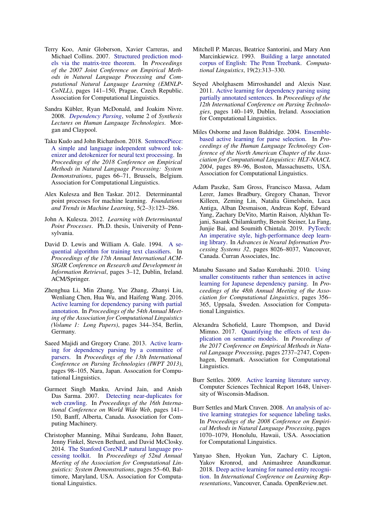- <span id="page-6-6"></span>Terry Koo, Amir Globerson, Xavier Carreras, and Michael Collins. 2007. [Structured prediction mod](https://www.aclweb.org/anthology/D07-1015)[els via the matrix-tree theorem.](https://www.aclweb.org/anthology/D07-1015) In *Proceedings of the 2007 Joint Conference on Empirical Methods in Natural Language Processing and Computational Natural Language Learning (EMNLP-CoNLL)*, pages 141–150, Prague, Czech Republic. Association for Computational Linguistics.
- <span id="page-6-4"></span>Sandra Kübler, Ryan McDonald, and Joakim Nivre. 2008. *[Dependency Parsing](https://doi.org/10.2200/S00169ED1V01Y200901HLT002)*, volume 2 of *Synthesis Lectures on Human Language Technologies*. Morgan and Claypool.
- <span id="page-6-17"></span>Taku Kudo and John Richardson. 2018. [SentencePiece:](https://doi.org/10.18653/v1/D18-2012) [A simple and language independent subword tok](https://doi.org/10.18653/v1/D18-2012)[enizer and detokenizer for neural text processing.](https://doi.org/10.18653/v1/D18-2012) In *Proceedings of the 2018 Conference on Empirical Methods in Natural Language Processing: System Demonstrations*, pages 66–71, Brussels, Belgium. Association for Computational Linguistics.
- <span id="page-6-3"></span>Alex Kulesza and Ben Taskar. 2012. Determinantal point processes for machine learning. *Foundations and Trends in Machine Learning*, 5(2–3):123–286.
- <span id="page-6-9"></span>John A. Kulesza. 2012. *Learning with Determinantal Point Processes*. Ph.D. thesis, University of Pennsylvania.
- <span id="page-6-5"></span>David D. Lewis and William A. Gale. 1994. [A se](https://doi.org/10.1007/978-1-4471-2099-5_1)[quential algorithm for training text classifiers.](https://doi.org/10.1007/978-1-4471-2099-5_1) In *Proceedings of the 17th Annual International ACM-SIGIR Conference on Research and Development in Information Retrieval*, pages 3–12, Dublin, Ireland. ACM/Springer.
- <span id="page-6-2"></span>Zhenghua Li, Min Zhang, Yue Zhang, Zhanyi Liu, Wenliang Chen, Hua Wu, and Haifeng Wang. 2016. [Active learning for dependency parsing with partial](https://www.aclweb.org/anthology/P16-1033) [annotation.](https://www.aclweb.org/anthology/P16-1033) In *Proceedings of the 54th Annual Meeting of the Association for Computational Linguistics (Volume 1: Long Papers)*, pages 344–354, Berlin, Germany.
- <span id="page-6-16"></span>Saeed Majidi and Gregory Crane. 2013. [Active learn](https://www.aclweb.org/anthology/W13-5711)[ing for dependency parsing by a committee of](https://www.aclweb.org/anthology/W13-5711) [parsers.](https://www.aclweb.org/anthology/W13-5711) In *Proceedings of the 13th International Conference on Parsing Technologies (IWPT 2013)*, pages 98–105, Nara, Japan. Assocation for Computational Linguistics.
- <span id="page-6-8"></span>Gurmeet Singh Manku, Arvind Jain, and Anish Das Sarma. 2007. [Detecting near-duplicates for](https://doi.org/10.1145/1242572.1242592) [web crawling.](https://doi.org/10.1145/1242572.1242592) In *Proceedings of the 16th International Conference on World Wide Web*, pages 141– 150, Banff, Alberta, Canada. Association for Computing Machinery.
- <span id="page-6-10"></span>Christopher Manning, Mihai Surdeanu, John Bauer, Jenny Finkel, Steven Bethard, and David McClosky. 2014. [The Stanford CoreNLP natural language pro](https://doi.org/10.3115/v1/P14-5010)[cessing toolkit.](https://doi.org/10.3115/v1/P14-5010) In *Proceedings of 52nd Annual Meeting of the Association for Computational Linguistics: System Demonstrations*, pages 55–60, Baltimore, Maryland, USA. Association for Computational Linguistics.
- <span id="page-6-0"></span>Mitchell P. Marcus, Beatrice Santorini, and Mary Ann Marcinkiewicz. 1993. [Building a large annotated](https://www.aclweb.org/anthology/J93-2004) [corpus of English: The Penn Treebank.](https://www.aclweb.org/anthology/J93-2004) *Computational Linguistics*, 19(2):313–330.
- <span id="page-6-15"></span>Seyed Abolghasem Mirroshandel and Alexis Nasr. 2011. [Active learning for dependency parsing using](https://www.aclweb.org/anthology/W11-2917) [partially annotated sentences.](https://www.aclweb.org/anthology/W11-2917) In *Proceedings of the 12th International Conference on Parsing Technologies*, pages 140–149, Dublin, Ireland. Association for Computational Linguistics.
- <span id="page-6-13"></span>Miles Osborne and Jason Baldridge. 2004. [Ensemble](https://www.aclweb.org/anthology/N04-1012)[based active learning for parse selection.](https://www.aclweb.org/anthology/N04-1012) In *Proceedings of the Human Language Technology Conference of the North American Chapter of the Association for Computational Linguistics: HLT-NAACL 2004*, pages 89–96, Boston, Massachusetts, USA. Association for Computational Linguistics.
- <span id="page-6-18"></span>Adam Paszke, Sam Gross, Francisco Massa, Adam Lerer, James Bradbury, Gregory Chanan, Trevor Killeen, Zeming Lin, Natalia Gimelshein, Luca Antiga, Alban Desmaison, Andreas Kopf, Edward Yang, Zachary DeVito, Martin Raison, Alykhan Tejani, Sasank Chilamkurthy, Benoit Steiner, Lu Fang, Junjie Bai, and Soumith Chintala. 2019. [PyTorch:](http://papers.nips.cc/paper/9015-pytorch-an-imperative-style-high-performance-deep-learning-library.pdf) [An imperative style, high-performance deep learn](http://papers.nips.cc/paper/9015-pytorch-an-imperative-style-high-performance-deep-learning-library.pdf)[ing library.](http://papers.nips.cc/paper/9015-pytorch-an-imperative-style-high-performance-deep-learning-library.pdf) In *Advances in Neural Information Processing Systems 32*, pages 8026–8037, Vancouver, Canada. Curran Associates, Inc.
- <span id="page-6-14"></span>Manabu Sassano and Sadao Kurohashi. 2010. [Using](https://www.aclweb.org/anthology/P10-1037) [smaller constituents rather than sentences in active](https://www.aclweb.org/anthology/P10-1037) [learning for Japanese dependency parsing.](https://www.aclweb.org/anthology/P10-1037) In *Proceedings of the 48th Annual Meeting of the Association for Computational Linguistics*, pages 356– 365, Uppsala, Sweden. Association for Computational Linguistics.
- <span id="page-6-11"></span>Alexandra Schofield, Laure Thompson, and David Mimno. 2017. [Quantifying the effects of text du](https://doi.org/10.18653/v1/D17-1290)[plication on semantic models.](https://doi.org/10.18653/v1/D17-1290) In *Proceedings of the 2017 Conference on Empirical Methods in Natural Language Processing*, pages 2737–2747, Copenhagen, Denmark. Association for Computational Linguistics.
- <span id="page-6-1"></span>Burr Settles. 2009. [Active learning literature survey.](http://burrsettles.com/pub/settles.activelearning.pdf) Computer Sciences Technical Report 1648, University of Wisconsin-Madison.
- <span id="page-6-7"></span>Burr Settles and Mark Craven. 2008. [An analysis of ac](https://www.aclweb.org/anthology/D08-1112)[tive learning strategies for sequence labeling tasks.](https://www.aclweb.org/anthology/D08-1112) In *Proceedings of the 2008 Conference on Empirical Methods in Natural Language Processing*, pages 1070–1079, Honolulu, Hawaii, USA. Association for Computational Linguistics.
- <span id="page-6-12"></span>Yanyao Shen, Hyokun Yun, Zachary C. Lipton, Yakov Kronrod, and Animashree Anandkumar. 2018. [Deep active learning for named entity recogni](https://openreview.net/forum?id=ry018WZAZ)[tion.](https://openreview.net/forum?id=ry018WZAZ) In *International Conference on Learning Representations*, Vancouver, Canada. OpenReview.net.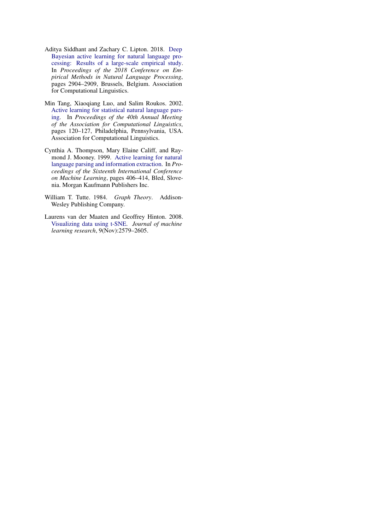- <span id="page-7-2"></span>Aditya Siddhant and Zachary C. Lipton. 2018. [Deep](https://doi.org/10.18653/v1/D18-1318) [Bayesian active learning for natural language pro](https://doi.org/10.18653/v1/D18-1318)[cessing: Results of a large-scale empirical study.](https://doi.org/10.18653/v1/D18-1318) In *Proceedings of the 2018 Conference on Empirical Methods in Natural Language Processing*, pages 2904–2909, Brussels, Belgium. Association for Computational Linguistics.
- <span id="page-7-0"></span>Min Tang, Xiaoqiang Luo, and Salim Roukos. 2002. [Active learning for statistical natural language pars](https://doi.org/10.3115/1073083.1073105)[ing.](https://doi.org/10.3115/1073083.1073105) In *Proceedings of the 40th Annual Meeting of the Association for Computational Linguistics*, pages 120–127, Philadelphia, Pennsylvania, USA. Association for Computational Linguistics.
- <span id="page-7-4"></span>Cynthia A. Thompson, Mary Elaine Califf, and Raymond J. Mooney. 1999. [Active learning for natural](https://www.cs.utexas.edu/~ml/papers/active-nll-ml99.pdf) [language parsing and information extraction.](https://www.cs.utexas.edu/~ml/papers/active-nll-ml99.pdf) In *Proceedings of the Sixteenth International Conference on Machine Learning*, pages 406–414, Bled, Slovenia. Morgan Kaufmann Publishers Inc.
- <span id="page-7-1"></span>William T. Tutte. 1984. *Graph Theory*. Addison-Wesley Publishing Company.
- <span id="page-7-3"></span>Laurens van der Maaten and Geoffrey Hinton. 2008. [Visualizing data using t-SNE.](https://jmlr.org/papers/volume9/vandermaaten08a/vandermaaten08a.pdf) *Journal of machine learning research*, 9(Nov):2579–2605.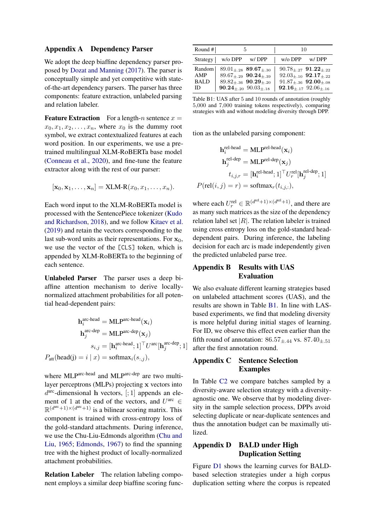## <span id="page-8-0"></span>Appendix A Dependency Parser

We adopt the deep biaffine dependency parser proposed by [Dozat and Manning](#page-5-3) [\(2017\)](#page-5-3). The parser is conceptually simple and yet competitive with stateof-the-art dependency parsers. The parser has three components: feature extraction, unlabeled parsing and relation labeler.

**Feature Extraction** For a length-n sentence  $x =$  $x_0, x_1, x_2, \ldots, x_n$ , where  $x_0$  is the dummy root symbol, we extract contextualized features at each word position. In our experiments, we use a pretrained multilingual XLM-RoBERTa base model [\(Conneau et al.,](#page-5-8) [2020\)](#page-5-8), and fine-tune the feature extractor along with the rest of our parser:

$$
[\mathbf{x}_0, \mathbf{x}_1, \dots, \mathbf{x}_n] = \text{XLM-R}(x_0, x_1, \dots, x_n).
$$

Each word input to the XLM-RoBERTa model is processed with the SentencePiece tokenizer [\(Kudo](#page-6-17) [and Richardson,](#page-6-17) [2018\)](#page-6-17), and we follow [Kitaev et al.](#page-5-17) [\(2019\)](#page-5-17) and retain the vectors corresponding to the last sub-word units as their representations. For  $x_0$ , we use the vector of the [CLS] token, which is appended by XLM-RoBERTa to the beginning of each sentence.

Unlabeled Parser The parser uses a deep biaffine attention mechanism to derive locallynormalized attachment probabilities for all potential head-dependent pairs:

$$
\mathbf{h}_{i}^{\text{arc-head}} = \text{MLP}^{\text{arc-head}}(\mathbf{x}_{i})
$$

$$
\mathbf{h}_{j}^{\text{arc-dep}} = \text{MLP}^{\text{arc-dep}}(\mathbf{x}_{j})
$$

$$
s_{i,j} = [\mathbf{h}_{i}^{\text{arc-head}}; 1]^{\top} U^{\text{arc}}[\mathbf{h}_{j}^{\text{arc-dep}}; 1]
$$

$$
P_{\text{att}}(\text{head}(j) = i | x) = \text{softmax}_{i}(s_{:,j}),
$$

where MLParc-head and MLParc-dep are two multilayer perceptrons (MLPs) projecting x vectors into  $d^{\text{arc}}$ -dimensional h vectors, [; 1] appends an element of 1 at the end of the vectors, and  $U^{\text{arc}} \in$  $\mathbb{R}^{(d^{\text{arc}}+1)\times(d^{\text{arc}}+1)}$  is a bilinear scoring matrix. This component is trained with cross-entropy loss of the gold-standard attachments. During inference, we use the Chu-Liu-Edmonds algorithm [\(Chu and](#page-5-18) [Liu,](#page-5-18) [1965;](#page-5-18) [Edmonds,](#page-5-19) [1967\)](#page-5-19) to find the spanning tree with the highest product of locally-normalized attachment probabilities.

Relation Labeler The relation labeling component employs a similar deep biaffine scoring func-

<span id="page-8-3"></span>

| Round $#$   | b.                                 | 10                                |
|-------------|------------------------------------|-----------------------------------|
| Strategy    | $w$ /o DPP<br>w/DPP                | $w$ / $\circ$ DPP<br>w/DPP        |
| Random      | $89.01 +_{28}$ 89.67+ $_{30}$      | $90.78_{+.27}$ $91.22_{+.22}$     |
| AMP         | $89.67_{+29}$ 90.24 <sub>+39</sub> | $92.03_{+.10}$ $92.17_{+.22}$     |
| <b>BALD</b> | $89.82_{\pm.36}$ 90.29+.20         | $91.87_{\pm.36}$ $92.00_{\pm.08}$ |
| ID          | $90.24_{+.20}$ $90.03_{+.18}$      | $92.16_{+.17}$ $92.06_{+.16}$     |

Table B1: UAS after 5 and 10 rounds of annotation (roughly 5,000 and 7,000 training tokens respectively), comparing strategies with and without modeling diversity through DPP.

tion as the unlabeled parsing component:

$$
\begin{aligned} \mathbf{h}^{\text{rel-head}}_i &= \text{MLP}^{\text{rel-head}}(\mathbf{x}_i) \\ \mathbf{h}^{\text{rel-dep}}_j &= \text{MLP}^{\text{rel-dep}}(\mathbf{x}_j) \\ t_{i,j,r} &= [\mathbf{h}^{\text{rel-head}}_i;1]^\top U^{\text{rel}}_r[\mathbf{h}^{\text{rel-dep}}_j;1] \\ P(\text{rel}(i,j) &= r) &= \text{softmax}_r(t_{i,j,:}), \end{aligned}
$$

where each  $U_r^{\text{rel}} \in \mathbb{R}^{\left(d^{\text{rel}}+1\right) \times \left(d^{\text{rel}}+1\right)}$ , and there are as many such matrices as the size of the dependency relation label set  $|R|$ . The relation labeler is trained using cross entropy loss on the gold-standard headdependent pairs. During inference, the labeling decision for each arc is made independently given the predicted unlabeled parse tree.

# <span id="page-8-1"></span>Appendix B Results with UAS Evaluation

We also evaluate different learning strategies based on unlabeled attachment scores (UAS), and the results are shown in Table [B1.](#page-8-3) In line with LASbased experiments, we find that modeling diversity is more helpful during initial stages of learning. For ID, we observe this effect even earlier than the fifth round of annotation:  $86.57_{\pm .44}$  vs.  $87.40_{\pm .51}$ after the first annotation round.

# <span id="page-8-2"></span>Appendix C Sentence Selection Examples

In Table [C2](#page-9-0) we compare batches sampled by a diversity-aware selection strategy with a diversityagnostic one. We observe that by modeling diversity in the sample selection process, DPPs avoid selecting duplicate or near-duplicate sentences and thus the annotation budget can be maximally utilized.

# Appendix D BALD under High Duplication Setting

Figure [D1](#page-10-2) shows the learning curves for BALDbased selection strategies under a high corpus duplication setting where the corpus is repeated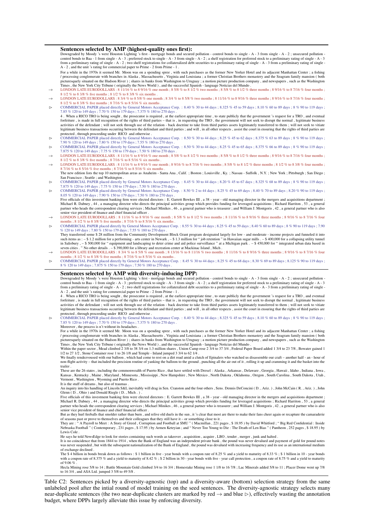#### <span id="page-9-0"></span>Sentences selected by AMP (highest-quality ones first):

Downgraded by Moody 's were Houston Lighting 's first - mortgage bonds and secured pollution - control bonds to single - A - 3 from single - A - 2 ; unsecured pollution -<br>control bonds to Baa - 1 from single - A - 3 ; pref from a preliminary rating of single - A - 2; two shelf registrations for collateralized debt securities to a preliminary rating of single - A - 3 from a preliminary rating of single - A - 3 from a preliminary rating of sin

For a while in the 1970s it seemed Mr. Moon was on a spending spree , with such purchases as the former New Yorker Hotel and its adjacent Manhattan Center ; a fishing / processing conglomerate with branches in Alaska , Massachusetts , Virginia and Louisiana ; a former Christian Brothers monastery and the Seagram family mansion ( both picturesquely situated on the Hudson River ) ; shares in banks from Washington to Uruguay ; a motion picture production company , and newspapers , such as the Washington

- Times , the New York City Tribune (originally the News World), and the successful Spanish language Noticias del Mundo.<br>  $\rightarrow$  LONDON LATE EURODOLLARS : 8 11/16 % to 8 9/16 % one month ; 8 5/8 % to 8 1/2 % two months ; 8
- LONDON LATE EURODOLLARS : 8 3/4 % to 8 5/8 % one month ; 8 3/4 % to 8 5/8 % two months ; 8 11/16 % to 8 9/16 % three months ; 8 9/16 % to 8 7/16 % four months ; % to 8 3/8 % five months : 8 7/16 % to 8 5/16 % six months .  $\triangleright$  COMMERCIAL PAPER placed directly by General Motors Acceptance Corp. : 8.40 % 30 to 44 days ; 8.325 % 45 to 59 days ; 8.10 % 60 to 89 days ; 8 % 90 to 119 days ;
- 7.85 % 120 to 149 days ; 7.70 % 150 to 179 days ; 7.375 % 180 to 270 days . 4. When a RICO TRO is being sought , the prosecutor is required , at the earliest appropriate time , to state publicly that the government 's request for a TRO , and eventual<br>forfeiture , is made in full recognition of the activities of the defendant ; will not seek through use of the relation - back doctrine to take from third parties assets legitimately transferred to them ; will not seek to vitiate legitimate business transactions occurring between the defendant and third parties ; and will , in all other respects , assist the court in ensuring that the rights of third parties are
- protected , through proceeding under RICO and otherwise .<br>  $\triangleright$  COMMERCIAL PAPER placed directly by General Motors Acceptance Corp. : 8.50 % 30 to 44 days ; 8.25 % 45 to 62 days ; 8.375 % 63 to 89 days ; 8 % 90 to 119 da
- 7.90 % 120 to 149 days ; 7.80 % 150 to 179 days ; 7.55 % 180 to 270 days .<br>
► COMMERCIAL PAPER placed directly by General Motors Acceptance Corp. : 8.50 % 30 to 44 days ; 8.25 % 45 to 65 days ; 8.375 % 66 to 89 days ; 8 %
- 7.875 % 120 to 149 days; 7.75 % 150 to 179 days; 7.50 % 180 to 270 days.<br>
→ LONDON LATE EURODOLLARS: 8 11/16 % to 8 9/16 % one month; 8 5/8 % to 8 1/2 % two months; 8 5/8 % to 8 1/2 % three months; 8 9/16 % to 8 7/16 % fo
- 8 1/2 % to 8 3/8 % five months ; 8 7/16 % to 8 5/16 % six months .<br>
→ LONDON LATE EURODOLLARS : 8 11/16 % to 8 9/16 % one month ; 8 9/16 % to 8 7/16 % two months ; 8 5/8 % to 8 1/2 % three months ; 8 1/2 % to 8 3/8 % fou 8 7/16 % to 8 5/16 % five months ; 8 7/16 % to 8 5/16 % six months The new edition lists the top 10 metropolitan areas as Anaheim - Santa Ana, Calif. ; Boston ; Louisville, Ky. ; Nassau - Suffolk, N.Y. ; New York ; Pittsburgh ; San Diego ;
- San Francisco ; Seattle ; and Washington .<br>  $\triangleright$  COMMERCIAL PAPER placed directly by General Motors Acceptance Corp. : 8.45 % 30 to 44 days ; 8.20 % 45 to 67 days ; 8.325 % 68 to 89 days ; 8 % 90 to 119 days ;
- 7.875 % 120 to 149 days; 7.75 % 150 to 179 days; 7.50 % 180 to 270 days.<br>
► COMMERCIAL PAPER placed directly by General Motors Acceptance Corp. : 8.50 % 2 to 44 days; 8.25 % 45 to 69 days; 8.40 % 70 to 89 days; 8.20 % 90
- 8.05 % 120 to 149 days : 7.90 % 150 to 179 days : 7.50 % 180 to 270 days Five officials of this investment banking firm were elected directors : E. Garrett Bewkes III , a 38 - year - old managing director in the mergers and acquisitions department ; Michael R. Dabney , 44 , a managing director who directs the principal activities group which provides funding for leveraged acquisitions ; Richard Harriton , 53 , a general<br>partner who heads the correspondent clearing ser enior vice president of finance and chief financial officer
- → LONDON LATE EURODOLLARS : 8 11/16 % to 8 9/16 % one month ; 8 5/8 % to 8 1/2 % two months ; 8 11/16 % to 8 9/16 % three months ; 8 9/16 % to 8 7/16 % to 8 7/16 % four months ; 8 1/2 % to 8 5/8 % five months ; 8 7/16 %
- COMMERCIAL PAPER placed directly by General Motors Acceptance Corp. : 8.55 % 30 to 44 days ; 8.25 % 45 to 59 days ; 8.40 % 60 to 89 days ; 8 % 90 to 119 days ; 7.90 % 120 to 149 days : 7.80 % 150 to 179 days : 7.55 % 180 to 270 days
- They transferred some \$ 28 million from the Community Development Block Grant program designated largely for low and moderate income projects and funneled it intc<br>such items as : \$ 1.2 million for a performing arts in Salisbury , – \$ 500,000 for " equipment and landscaping to deter crime and aid police surveillance " at a Michigan park . – \$ 450,000 for " integrated urban data based in<br>seven cities . " No other details . – \$ 390,000
- → LONDON LATE EURODOLLARS : 8 3/4 % to 8 5/8 % one month ; 8 13/16 % to 8 11/16 % two months ; 8 11/16 % to 8 9/16 % three months ; 8 9/16 % to 8 7/16 % four months ; 8 1/2 % to 8 3/8 % five months ; 8 7/16 % to 8 5/16 %
- COMMERCIAL PAPER placed directly by General Motors Acceptance Corp. : 8.45 % 30 to 44 days ; 8.25 % 45 to 68 days ; 8.30 % 69 to 89 days ; 8.125 % 90 to 119 days ; 8.61 % 90 to 119 days ; 7.675 % 150 to 179 days ; 7.50 %

#### Sentences selected by AMP with diversity-inducing DPP:

Downgraded by Moody 's were Houston Lighting 's first - mortgage bonds and secured pollution - control bonds to single - A - 3 from single - A - 2 ; unsecured pollution -<br>control bonds to Baa - 1 from single - A - 3 ; pref from a preliminary rating of single - A - 2 ; two shelf registrations for collateralized debt securities to a preliminary rating of single - A - 3 from a preliminary rating of single - A  $-2$ , and the unit 's rating for commercial paper to Prime  $-2$  from Prime  $-1$ .

4 . When a RICO TRO is being sought , the prosecutor is required , at the earliest appropriate time , to state publicly that the government 's request for a TRO , and eventual<br>forfeiture , is made in full recognition of th activities of the defendant ; will not seek through use of the relation - back doctrine to take from third parties assets legitimately transferred to them ; will not seek to vitiate<br>legitimate business transactions occurri protected , through proceeding under RICO and otherwise .

 COMMERCIAL PAPER placed directly by General Motors Acceptance Corp. : 8.40 % 30 to 44 days ; 8.325 % 45 to 59 days ; 8.10 % 60 to 89 days ; 8 % 90 to 119 days ; 7.85 % 120 to 149 days ; 7.70 % 150 to 179 days ; 7.375 % 180 to 270 days . Moreover , the process is n't without its headaches .

For a while in the 1970s it seemed Mr. Moon was on a spending spree , with such purchases as the former New Yorker Hotel and its adjacent Manhattan Center ; a fishing

/ processing conglomerate with branches in Alaska , Massachusetts , Virginia and Louisiana ; a former Christian Brothers monastery and the Seagram family mansion ( both<br>picturesquely situated on the Hudson River ) ; shares

Within the paper sector, Mead climbed 2 3/8 to 38 3/4 on 1.3 million shares, Union Camp rose 2 3/4 to 37 3/4, Federal Paper Board added 1 3/4 to 23 7/8, Bowater gained 1 1/2 to 27 1/2, Stone Container rose 1 to 26 1/8 and We finally rendezvoused with our balloon , which had come to rest on a dirt road amid a clutch of Epinalers who watched us disassemble our craft – another half - an - hour of non-flight activity – that included the precision routine of yanking the balloon to the ground , punching all the air out of it , rolling it up and cramming it and the basket into the

trailer These are the 26 states , including the commonwealth of Puerto Rico , that have settled with Drexel : Alaska , Arkansas , Delaware , Georgia , Hawaii , Idaho , Indiana , Iowa ,<br>Kansas , Kentucky , Maine , Maryland , Minnes

Vermont , Washington , Wyoming and Puerto Rico .

It is the stuff of dreams , but also of traumas . An inquiry into his handling of Lincoln S&L inevitably will drag in Sen. Cranston and the four others , Sens. Dennis DeConcini ( D. , Ariz. ) , John McCain ( R. , Ariz. ) , John Glenn ( D., Ohio ) and Donald Riegle ( D., Mich.).

Five officials of this investment banking firm were elected directors : E. Garrett Bewkes III , a 38 - year - old managing director in the mergers and acquisitions department ;<br>Michael R. Dabney , 44 , a managing director partner who heads the correspondent clearing services ; Michael Minikes , 46 , a general partner who is treasurer ; and William J. Montgoris , 42 , a general partner who is also senior vice president of finance and chief financial officer

But as they hurl fireballs that smolder rather than burn , and relive old duels in the sun , it 's clear that most are there to make their fans cheer again or recapture the camaraderie<br>of seasons past or prove to themselve

Lewis Cole .

He says he told NewsEdge to look for stories containing such words as takeover, acquisition, acquire, LBO, tender, merger, junk and halted

It is no coincidence that from 1844 to 1914 , when the Bank of England was an independent private bank , the pound was never devalued and payment of gold for pound notes<br>was never suspended , but with the subsequent nation

of exchange declined .<br>The \$ 4 billion in bonds break down as follows : \$ 1 billion in five - year bonds with a coupon rate of 8.25 % and a yield to maturity of 8.33 % ; \$ 1 billion in 10 - year bonds<br>with a coupon rate of of 9.06 %

Hecla Mining rose 5/8 to 14 ; Battle Mountain Gold climbed 3/4 to 16 3/4 ; Homestake Mining rose 1 1/8 to 16 7/8 ; Lac Minerals added 5/8 to 11 ; Placer Dome went up 7/8<br>to 16 3/4 , and ASA Ltd. jumped 3 5/8 to 49 5/8 .

Table C2: Sentences picked by a diversity-agnostic (top) and a diversity-aware (bottom) selection strategy from the same unlabeled pool after the intial round of model training on the seed sentences. The diversity-agnostic strategy selects many near-duplicate sentences (the two near-duplicate clusters are marked by red  $\rightarrow$  and blue  $\triangleright$ ), effectively wasting the annotation budget, where DPPs largely alleviate this issue by enforcing diversity.